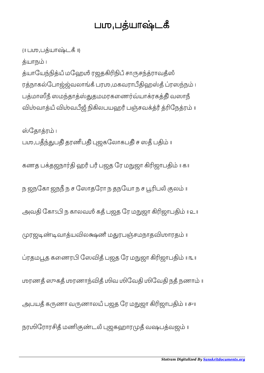## பமுபத்யாஷ்டகீ

{॥ பஶுபயாடகஂ ॥}

த்யாநம் ၊

த்யாயேந்நித்யீ மஹேமீ ரஜதகிரிநிபீ சாருசந்த்ராவதீஸீ ரத்நாகல்போஜ்ஜ்வலாங்கீ பரமு,மகவராபீதிஹஸ்தீ ப்ரஸந்நம் ၊ பத்மாஸீநீ ஸமந்தாத்ஸ்துதமமரகணைர்வ்யாக்ரகத்தி வஸாநீ விம்வாத்யீ விம்வபீஜீ நிகிலபயஹரீ பஞ்சவக்த்ரீ த்ரிநேத்ரம் ။

ஸ்தோத்ரம் ၊ பமு,பதீந்துபதி தரணீபதி புஜகலோகபதி ச ஸதீ பதிம் ။

கணத பதஜநா ஹரஂ பரஂ பஜத ேர மஜா ஜாப ॥ ௧॥

ந ஜநகோ ஜநநீ ந ச ஸோதரோ ந தநயோ ந ச பூரிபலீ குலம் ။

அவதி கோ $\mathfrak{sl}$  ந காலவமீ கதீ பஜத ரே மநுஜா கிரிஜாபதிம்  $\mathfrak{u}$  உ $\mathfrak{u}$ 

முரஜடிண்டிவாத்யவிலக்ஷணீ மதுரபஞ்சமநாதவிமாரதம்

ரதமத கைணர ேஸதஂ பஜத ேர மஜா ஜாப ॥ ௩॥

மரணதீ ஸுகதீ மரணாந்விதீ மிவ மிவேதி மிவேதி நதீ நணாம் ။

அபயதீ கருணா வருணாலயீ பஜத ரே மநுஜா கிரிஜாபதிம் ။ சுய

நரமிரோரசித் மணிகுண்டல் புஜகஹாரமுத் வஷபத்வஜம் ။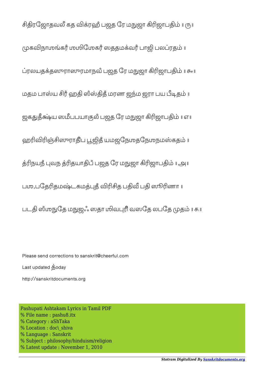ரேஜாதவ கத ரஹஂ பஜத ேர மஜா ஜாப ॥ ௫॥ முகவிநாமங்கரீ மூமிமேகரீ ஸததமக்வரீ பாஜி பலப்ரதம் ரலயததராரமாநவஂ பஜத ேர மஜா ஜாப ॥ ௬॥ மதம பாஸ்ய சிரீ ஹதி ஸீஸ்திதீ மரண ஜந்ம ஜரா பய பீடிதம் ஜகய ஸபபயாலஂ பஜத ேர மஜா ஜாப ॥ ௭॥ ஹரிவிரிஞ்சிஸுராதிப பூஜித் யமஜநேமதநேமநமஸ்கதம் நயநஂ வந தயாபஂ பஜத ேர மஜா ஜாப ॥ ௮॥ பமு,பதேரிதமஷ்டகமக்புத் விரிசித பதிவீ பதி ஸூரிணா ။ படதி ஸீமுநுதே மநுஜஃ ஸதா மிவபுரி வஸதே லபதே முதம் ॥ கூ ॥

Please send corrections to sanskrit@cheerful.com

Last updated goday

http://sanskritdocuments.org

Pashupati Ashtakam Lyrics in Tamil PDF % File name : pashu8.itx % Category : aShTaka % Location : doc\\_shiva % Language : Sanskrit % Subject : philosophy/hinduism/religion % Latest update : November 1, 2010